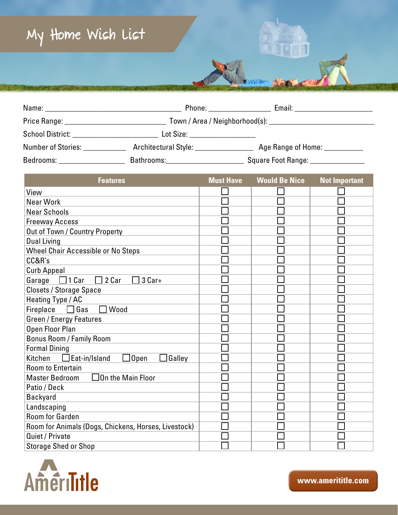## **My Home Wish List**

|                           | Phone: ___________________           | Email: __________________________   |
|---------------------------|--------------------------------------|-------------------------------------|
|                           |                                      |                                     |
|                           | Lot Size: ____________________       |                                     |
| Number of Stories:        | Architectural Style: _______________ | Age Range of Home: __________       |
| Bedrooms: _______________ | Bathrooms:___________________        | Square Foot Range: ________________ |

| <b>Features</b>                                          | <b>Must Have</b> | <b>Would Be Nice</b> | <b>Not Important</b> |
|----------------------------------------------------------|------------------|----------------------|----------------------|
| View                                                     |                  |                      |                      |
| <b>Near Work</b>                                         |                  |                      |                      |
| <b>Near Schools</b>                                      |                  |                      |                      |
| <b>Freeway Access</b>                                    |                  |                      |                      |
| Out of Town / Country Property                           |                  |                      |                      |
| <b>Dual Living</b>                                       |                  |                      |                      |
| <b>Wheel Chair Accessible or No Steps</b>                |                  |                      |                      |
| CC&R's                                                   |                  |                      |                      |
| <b>Curb Appeal</b>                                       |                  |                      |                      |
| 2 Car<br>$\Box$ 1 Car<br>3 Car+<br>Garage<br>$\Box$      |                  |                      |                      |
| <b>Closets / Storage Space</b>                           |                  |                      |                      |
| Heating Type / AC                                        |                  |                      |                      |
| Wood<br>Fireplace<br>$\Box$ Gas                          |                  |                      |                      |
| <b>Green / Energy Features</b>                           |                  |                      |                      |
| Open Floor Plan                                          |                  |                      |                      |
| <b>Bonus Room / Family Room</b>                          |                  |                      |                      |
| <b>Formal Dining</b>                                     |                  |                      |                      |
| $\Box$ Open<br>Galley<br>$\Box$ Eat-in/Island<br>Kitchen |                  |                      |                      |
| <b>Room to Entertain</b>                                 |                  |                      |                      |
| $\Box$ On the Main Floor<br><b>Master Bedroom</b>        |                  |                      |                      |
| Patio / Deck                                             |                  |                      |                      |
| <b>Backyard</b>                                          |                  |                      |                      |
| Landscaping                                              |                  |                      |                      |
| <b>Room for Garden</b>                                   |                  |                      |                      |
| Room for Animals (Dogs, Chickens, Horses, Livestock)     |                  |                      |                      |
| Quiet / Private                                          |                  |                      |                      |
| <b>Storage Shed or Shop</b>                              |                  |                      |                      |



www.amerititle.com